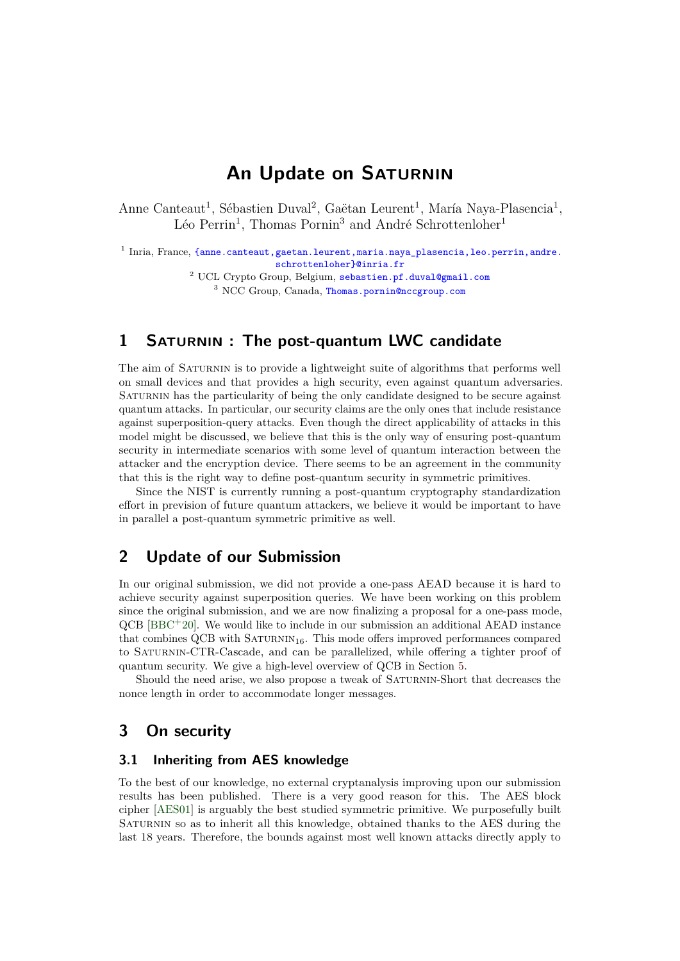# **An Update on Saturnin**

<span id="page-0-0"></span>Anne Canteaut<sup>1</sup>, Sébastien Duval<sup>2</sup>, Gaëtan Leurent<sup>1</sup>, María Naya-Plasencia<sup>1</sup>, Léo Perrin<sup>1</sup>, Thomas Pornin<sup>3</sup> and André Schrottenloher<sup>1</sup>

<sup>1</sup> Inria, France, [{anne.canteaut,gaetan.leurent,maria.naya\\_plasencia,leo.perrin,andre.](mailto:{anne.canteaut, gaetan.leurent,maria.naya_plasencia,leo.perrin,andre.schrottenloher}@inria.fr) [schrottenloher}@inria.fr](mailto:{anne.canteaut, gaetan.leurent,maria.naya_plasencia,leo.perrin,andre.schrottenloher}@inria.fr)

<sup>2</sup> UCL Crypto Group, Belgium, [sebastien.pf.duval@gmail.com](mailto:sebastien.pf.duval@gmail.com) <sup>3</sup> NCC Group, Canada, [Thomas.pornin@nccgroup.com](mailto:Thomas.pornin@nccgroup.com)

### **1 Saturnin : The post-quantum LWC candidate**

The aim of SATURNIN is to provide a lightweight suite of algorithms that performs well on small devices and that provides a high security, even against quantum adversaries. SATURNIN has the particularity of being the only candidate designed to be secure against quantum attacks. In particular, our security claims are the only ones that include resistance against superposition-query attacks. Even though the direct applicability of attacks in this model might be discussed, we believe that this is the only way of ensuring post-quantum security in intermediate scenarios with some level of quantum interaction between the attacker and the encryption device. There seems to be an agreement in the community that this is the right way to defne post-quantum security in symmetric primitives.

Since the NIST is currently running a post-quantum cryptography standardization efort in prevision of future quantum attackers, we believe it would be important to have in parallel a post-quantum symmetric primitive as well.

### **2 Update of our Submission**

In our original submission, we did not provide a one-pass AEAD because it is hard to achieve security against superposition queries. We have been working on this problem since the original submission, and we are now fnalizing a proposal for a one-pass mode,  $QCB$  [\[BBC](#page-2-0)<sup>+20]</sup>. We would like to include in our submission an additional AEAD instance that combines  $QCB$  with  $SATURNIN<sub>16</sub>$ . This mode offers improved performances compared to Saturnin-CTR-Cascade, and can be parallelized, while ofering a tighter proof of quantum security. We give a high-level overview of QCB in Section [5.](#page-2-1)

Should the need arise, we also propose a tweak of Saturnin-Short that decreases the nonce length in order to accommodate longer messages.

## **3 On security**

#### **3.1 Inheriting from AES knowledge**

To the best of our knowledge, no external cryptanalysis improving upon our submission results has been published. There is a very good reason for this. The AES block cipher [\[AES01\]](#page-2-2) is arguably the best studied symmetric primitive. We purposefully built SATURNIN so as to inherit all this knowledge, obtained thanks to the AES during the last 18 years. Therefore, the bounds against most well known attacks directly apply to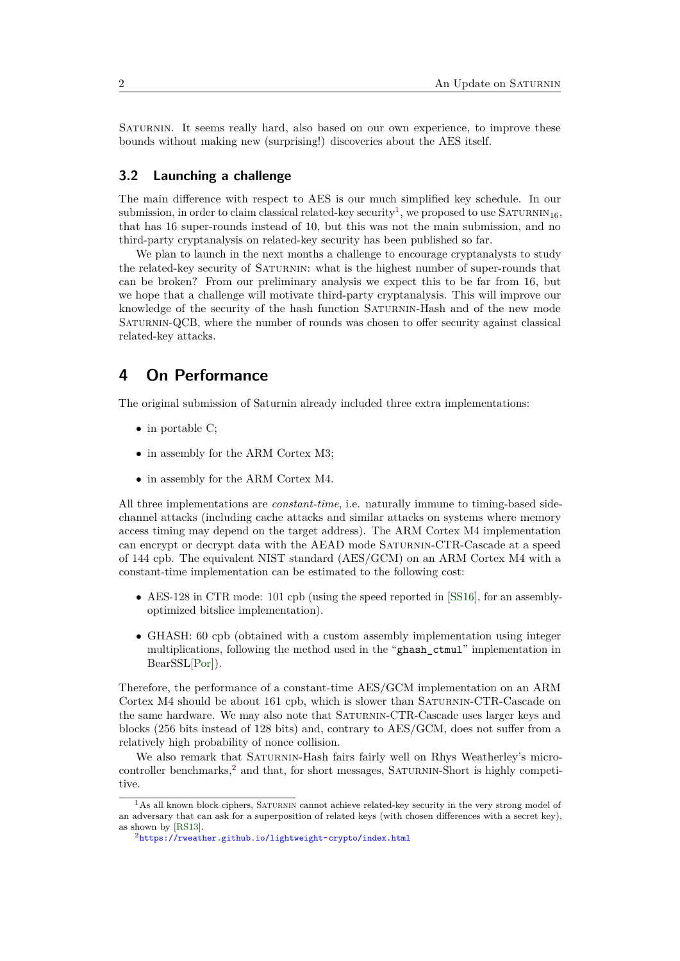SATURNIN. It seems really hard, also based on our own experience, to improve these bounds without making new (surprising!) discoveries about the AES itself.

#### **3.2 Launching a challenge**

The main diference with respect to AES is our much simplifed key schedule. In our submission, in order to claim classical related-key security<sup>[1](#page-0-0)</sup>, we proposed to use  $SATURNI16$ , that has 16 super-rounds instead of 10, but this was not the main submission, and no third-party cryptanalysis on related-key security has been published so far.

We plan to launch in the next months a challenge to encourage cryptanalysts to study the related-key security of SATURNIN: what is the highest number of super-rounds that can be broken? From our preliminary analysis we expect this to be far from 16, but we hope that a challenge will motivate third-party cryptanalysis. This will improve our knowledge of the security of the hash function Saturnin-Hash and of the new mode SATURNIN-QCB, where the number of rounds was chosen to offer security against classical related-key attacks.

### **4 On Performance**

The original submission of Saturnin already included three extra implementations:

- ∙ in portable C;
- ∙ in assembly for the ARM Cortex M3;
- ∙ in assembly for the ARM Cortex M4.

All three implementations are *constant-time*, i.e. naturally immune to timing-based sidechannel attacks (including cache attacks and similar attacks on systems where memory access timing may depend on the target address). The ARM Cortex M4 implementation can encrypt or decrypt data with the AEAD mode Saturnin-CTR-Cascade at a speed of 144 cpb. The equivalent NIST standard (AES/GCM) on an ARM Cortex M4 with a constant-time implementation can be estimated to the following cost:

- ∙ AES-128 in CTR mode: 101 cpb (using the speed reported in [\[SS16\]](#page-3-0), for an assemblyoptimized bitslice implementation).
- ∙ GHASH: 60 cpb (obtained with a custom assembly implementation using integer multiplications, following the method used in the "ghash\_ctmul" implementation in BearSSL[\[Por\]](#page-3-1)).

Therefore, the performance of a constant-time AES/GCM implementation on an ARM Cortex M4 should be about 161 cpb, which is slower than SATURNIN-CTR-Cascade on the same hardware. We may also note that SATURNIN-CTR-Cascade uses larger keys and blocks (256 bits instead of 128 bits) and, contrary to AES/GCM, does not sufer from a relatively high probability of nonce collision.

We also remark that SATURNIN-Hash fairs fairly well on Rhys Weatherley's micro-controller benchmarks,<sup>[2](#page-0-0)</sup> and that, for short messages, SATURNIN-Short is highly competitive.

 $1\text{As all known block ciphers, SATURNIN cannot achieve related-key security in the very strong model of }$ an adversary that can ask for a superposition of related keys (with chosen diferences with a secret key), as shown by [\[RS13\]](#page-3-2).

<sup>2</sup><https://rweather.github.io/lightweight-crypto/index.html>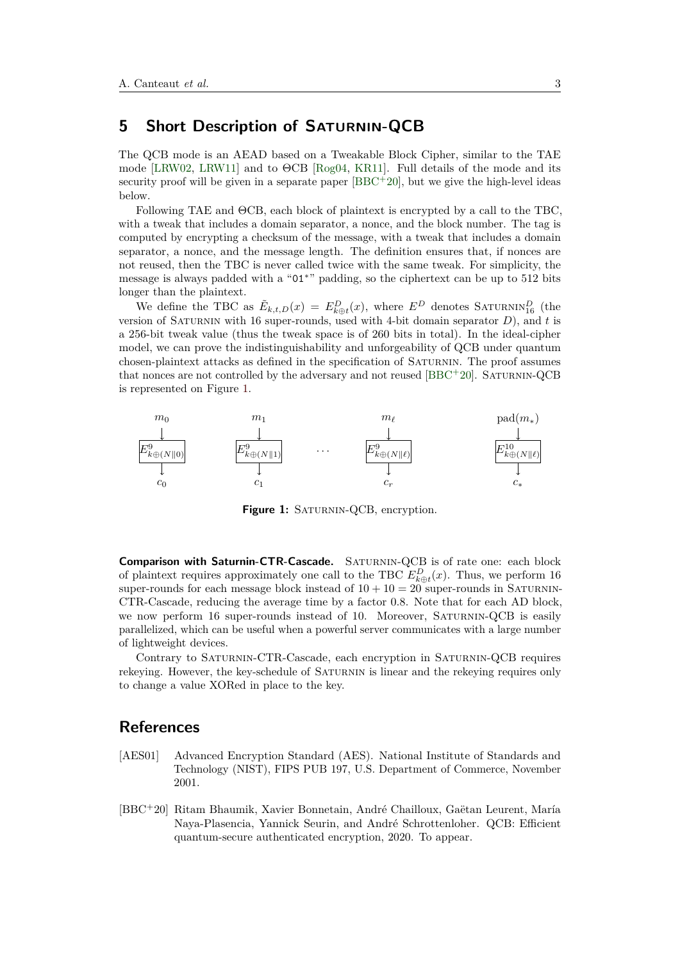#### <span id="page-2-1"></span>**5 Short Description of Saturnin-QCB**

The QCB mode is an AEAD based on a Tweakable Block Cipher, similar to the TAE mode [\[LRW02,](#page-3-3) [LRW11\]](#page-3-4) and to  $\Theta$ CB [\[Rog04,](#page-3-5) [KR11\]](#page-3-6). Full details of the mode and its security proof will be given in a separate paper  $[BBC + 20]$  $[BBC + 20]$ , but we give the high-level ideas below.

Following TAE and ΘCB, each block of plaintext is encrypted by a call to the TBC, with a tweak that includes a domain separator, a nonce, and the block number. The tag is computed by encrypting a checksum of the message, with a tweak that includes a domain separator, a nonce, and the message length. The defnition ensures that, if nonces are not reused, then the TBC is never called twice with the same tweak. For simplicity, the message is always padded with a "01\*" padding, so the ciphertext can be up to 512 bits longer than the plaintext.

We define the TBC as  $\tilde{E}_{k,t,D}(x) = E_{k \oplus t}^D(x)$ , where  $E^D$  denotes SATURNIN<sup>D</sup><sub>16</sub> (the version of SATURNIN with 16 super-rounds, used with 4-bit domain separator  $D$ ), and  $t$  is a 256-bit tweak value (thus the tweak space is of 260 bits in total). In the ideal-cipher model, we can prove the indistinguishability and unforgeability of QCB under quantum chosen-plaintext attacks as defned in the specifcation of Saturnin. The proof assumes that nonces are not controlled by the adversary and not reused  $[BBC + 20]$  $[BBC + 20]$ . SATURNIN-QCB is represented on Figure [1.](#page-2-3)

<span id="page-2-3"></span>

Figure 1: SATURNIN-QCB, encryption.

Comparison with Saturnin-CTR-Cascade. SATURNIN-QCB is of rate one: each block of plaintext requires approximately one call to the TBC  $E_{k \oplus t}^{D}(x)$ . Thus, we perform 16 super-rounds for each message block instead of  $10 + 10 = 20$  super-rounds in SATURNIN-CTR-Cascade, reducing the average time by a factor 0*.*8. Note that for each AD block, we now perform 16 super-rounds instead of 10. Moreover, SATURNIN-QCB is easily parallelized, which can be useful when a powerful server communicates with a large number of lightweight devices.

Contrary to SATURNIN-CTR-Cascade, each encryption in SATURNIN-QCB requires rekeying. However, the key-schedule of SATURNIN is linear and the rekeying requires only to change a value XORed in place to the key.

#### **References**

- <span id="page-2-2"></span>[AES01] Advanced Encryption Standard (AES). National Institute of Standards and Technology (NIST), FIPS PUB 197, U.S. Department of Commerce, November 2001.
- <span id="page-2-0"></span>[BBC<sup>+</sup>20] Ritam Bhaumik, Xavier Bonnetain, André Chailloux, Gaëtan Leurent, María Naya-Plasencia, Yannick Seurin, and André Schrottenloher. QCB: Efficient quantum-secure authenticated encryption, 2020. To appear.